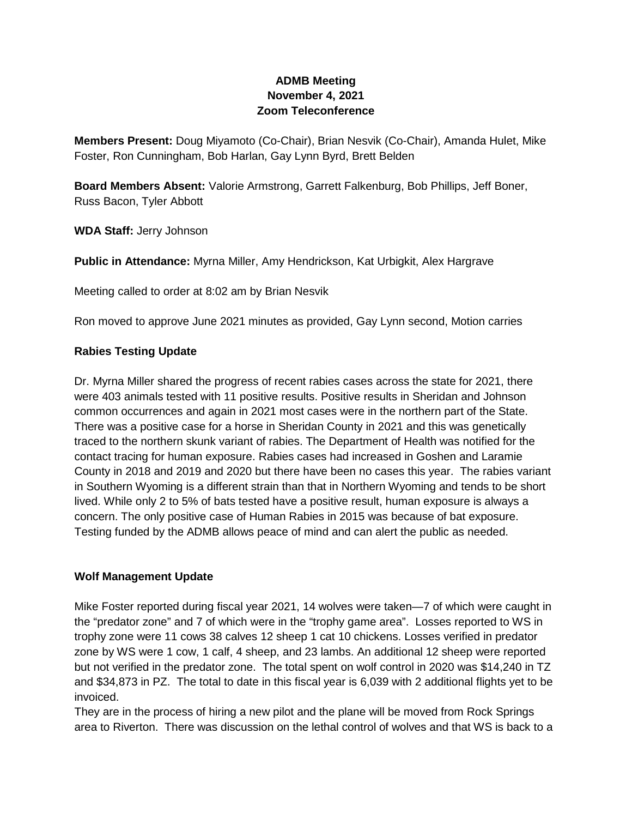# **ADMB Meeting November 4, 2021 Zoom Teleconference**

**Members Present:** Doug Miyamoto (Co-Chair), Brian Nesvik (Co-Chair), Amanda Hulet, Mike Foster, Ron Cunningham, Bob Harlan, Gay Lynn Byrd, Brett Belden

**Board Members Absent:** Valorie Armstrong, Garrett Falkenburg, Bob Phillips, Jeff Boner, Russ Bacon, Tyler Abbott

**WDA Staff:** Jerry Johnson

**Public in Attendance:** Myrna Miller, Amy Hendrickson, Kat Urbigkit, Alex Hargrave

Meeting called to order at 8:02 am by Brian Nesvik

Ron moved to approve June 2021 minutes as provided, Gay Lynn second, Motion carries

#### **Rabies Testing Update**

Dr. Myrna Miller shared the progress of recent rabies cases across the state for 2021, there were 403 animals tested with 11 positive results. Positive results in Sheridan and Johnson common occurrences and again in 2021 most cases were in the northern part of the State. There was a positive case for a horse in Sheridan County in 2021 and this was genetically traced to the northern skunk variant of rabies. The Department of Health was notified for the contact tracing for human exposure. Rabies cases had increased in Goshen and Laramie County in 2018 and 2019 and 2020 but there have been no cases this year. The rabies variant in Southern Wyoming is a different strain than that in Northern Wyoming and tends to be short lived. While only 2 to 5% of bats tested have a positive result, human exposure is always a concern. The only positive case of Human Rabies in 2015 was because of bat exposure. Testing funded by the ADMB allows peace of mind and can alert the public as needed.

# **Wolf Management Update**

Mike Foster reported during fiscal year 2021, 14 wolves were taken—7 of which were caught in the "predator zone" and 7 of which were in the "trophy game area". Losses reported to WS in trophy zone were 11 cows 38 calves 12 sheep 1 cat 10 chickens. Losses verified in predator zone by WS were 1 cow, 1 calf, 4 sheep, and 23 lambs. An additional 12 sheep were reported but not verified in the predator zone. The total spent on wolf control in 2020 was \$14,240 in TZ and \$34,873 in PZ. The total to date in this fiscal year is 6,039 with 2 additional flights yet to be invoiced.

They are in the process of hiring a new pilot and the plane will be moved from Rock Springs area to Riverton. There was discussion on the lethal control of wolves and that WS is back to a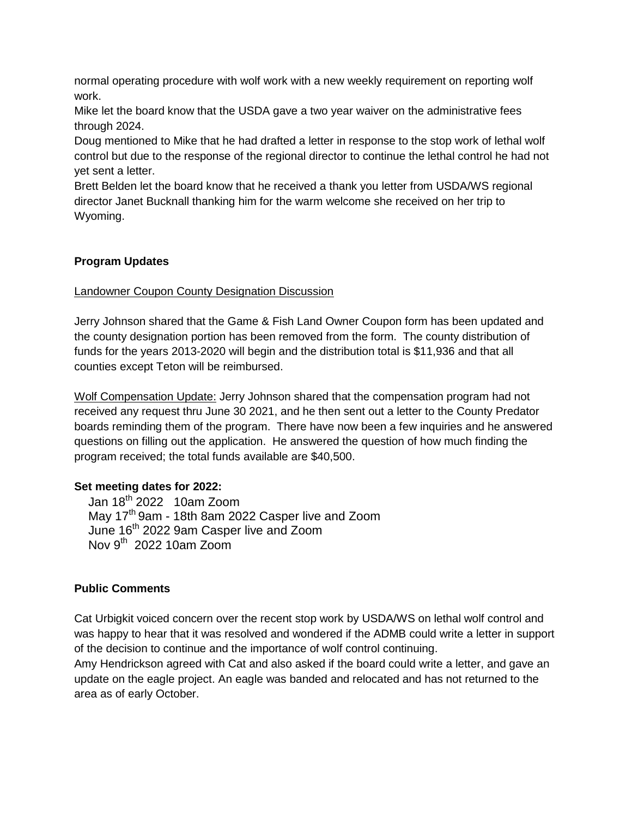normal operating procedure with wolf work with a new weekly requirement on reporting wolf work.

Mike let the board know that the USDA gave a two year waiver on the administrative fees through 2024.

Doug mentioned to Mike that he had drafted a letter in response to the stop work of lethal wolf control but due to the response of the regional director to continue the lethal control he had not yet sent a letter.

Brett Belden let the board know that he received a thank you letter from USDA/WS regional director Janet Bucknall thanking him for the warm welcome she received on her trip to Wyoming.

# **Program Updates**

#### Landowner Coupon County Designation Discussion

Jerry Johnson shared that the Game & Fish Land Owner Coupon form has been updated and the county designation portion has been removed from the form. The county distribution of funds for the years 2013-2020 will begin and the distribution total is \$11,936 and that all counties except Teton will be reimbursed.

Wolf Compensation Update: Jerry Johnson shared that the compensation program had not received any request thru June 30 2021, and he then sent out a letter to the County Predator boards reminding them of the program. There have now been a few inquiries and he answered questions on filling out the application. He answered the question of how much finding the program received; the total funds available are \$40,500.

#### **Set meeting dates for 2022:**

Jan  $18^{th}$  2022 10am Zoom May 17<sup>th</sup> 9am - 18th 8am 2022 Casper live and Zoom June 16th 2022 9am Casper live and Zoom Nov  $9^{th}$  2022 10am Zoom

# **Public Comments**

Cat Urbigkit voiced concern over the recent stop work by USDA/WS on lethal wolf control and was happy to hear that it was resolved and wondered if the ADMB could write a letter in support of the decision to continue and the importance of wolf control continuing.

Amy Hendrickson agreed with Cat and also asked if the board could write a letter, and gave an update on the eagle project. An eagle was banded and relocated and has not returned to the area as of early October.